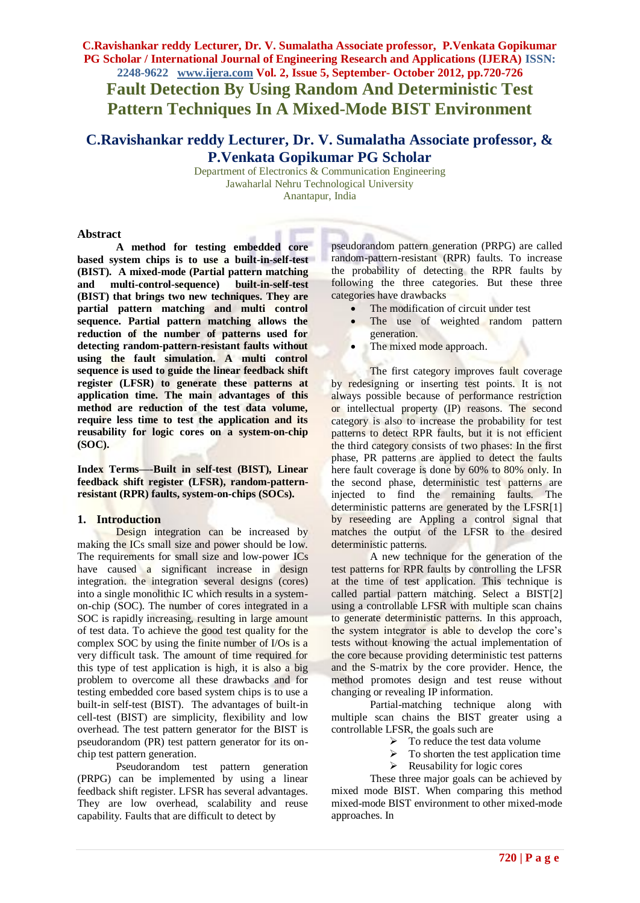**C.Ravishankar reddy Lecturer, Dr. V. Sumalatha Associate professor, P.Venkata Gopikumar PG Scholar / International Journal of Engineering Research and Applications (IJERA) ISSN: 2248-9622 www.ijera.com Vol. 2, Issue 5, September- October 2012, pp.720-726 Fault Detection By Using Random And Deterministic Test** 

**Pattern Techniques In A Mixed-Mode BIST Environment**

# **C.Ravishankar reddy Lecturer, Dr. V. Sumalatha Associate professor, & P.Venkata Gopikumar PG Scholar**

Department of Electronics & Communication Engineering Jawaharlal Nehru Technological University Anantapur, India

### **Abstract**

**A method for testing embedded core based system chips is to use a built-in-self-test (BIST). A mixed-mode (Partial pattern matching**  and multi-control-sequence) **(BIST) that brings two new techniques. They are partial pattern matching and multi control sequence. Partial pattern matching allows the reduction of the number of patterns used for detecting random-pattern-resistant faults without using the fault simulation. A multi control sequence is used to guide the linear feedback shift register (LFSR) to generate these patterns at application time. The main advantages of this method are reduction of the test data volume, require less time to test the application and its reusability for logic cores on a system-on-chip (SOC).**

**Index Terms***—*-**Built in self-test (BIST), Linear feedback shift register (LFSR), random-patternresistant (RPR) faults, system-on-chips (SOCs).**

#### **1. Introduction**

Design integration can be increased by making the ICs small size and power should be low. The requirements for small size and low-power ICs have caused a significant increase in design integration. the integration several designs (cores) into a single monolithic IC which results in a systemon-chip (SOC). The number of cores integrated in a SOC is rapidly increasing, resulting in large amount of test data. To achieve the good test quality for the complex SOC by using the finite number of I/Os is a very difficult task. The amount of time required for this type of test application is high, it is also a big problem to overcome all these drawbacks and for testing embedded core based system chips is to use a built-in self-test (BIST). The advantages of built-in cell-test (BIST) are simplicity, flexibility and low overhead. The test pattern generator for the BIST is pseudorandom (PR) test pattern generator for its onchip test pattern generation.

Pseudorandom test pattern generation (PRPG) can be implemented by using a linear feedback shift register. LFSR has several advantages. They are low overhead, scalability and reuse capability. Faults that are difficult to detect by

pseudorandom pattern generation (PRPG) are called random-pattern-resistant (RPR) faults. To increase the probability of detecting the RPR faults by following the three categories. But these three categories have drawbacks

- The modification of circuit under test
- The use of weighted random pattern generation.
- The mixed mode approach.

The first category improves fault coverage by redesigning or inserting test points. It is not always possible because of performance restriction or intellectual property (IP) reasons. The second category is also to increase the probability for test patterns to detect RPR faults, but it is not efficient the third category consists of two phases: In the first phase, PR patterns are applied to detect the faults here fault coverage is done by 60% to 80% only. In the second phase, deterministic test patterns are injected to find the remaining faults. The deterministic patterns are generated by the LFSR[1] by reseeding are Appling a control signal that matches the output of the LFSR to the desired deterministic patterns.

A new technique for the generation of the test patterns for RPR faults by controlling the LFSR at the time of test application. This technique is called partial pattern matching. Select a BIST[2] using a controllable LFSR with multiple scan chains to generate deterministic patterns. In this approach, the system integrator is able to develop the core's tests without knowing the actual implementation of the core because providing deterministic test patterns and the S-matrix by the core provider. Hence, the method promotes design and test reuse without changing or revealing IP information.

Partial-matching technique along with multiple scan chains the BIST greater using a controllable LFSR, the goals such are

- $\triangleright$  To reduce the test data volume
- $\triangleright$  To shorten the test application time
- $\triangleright$  Reusability for logic cores

These three major goals can be achieved by mixed mode BIST. When comparing this method mixed-mode BIST environment to other mixed-mode approaches. In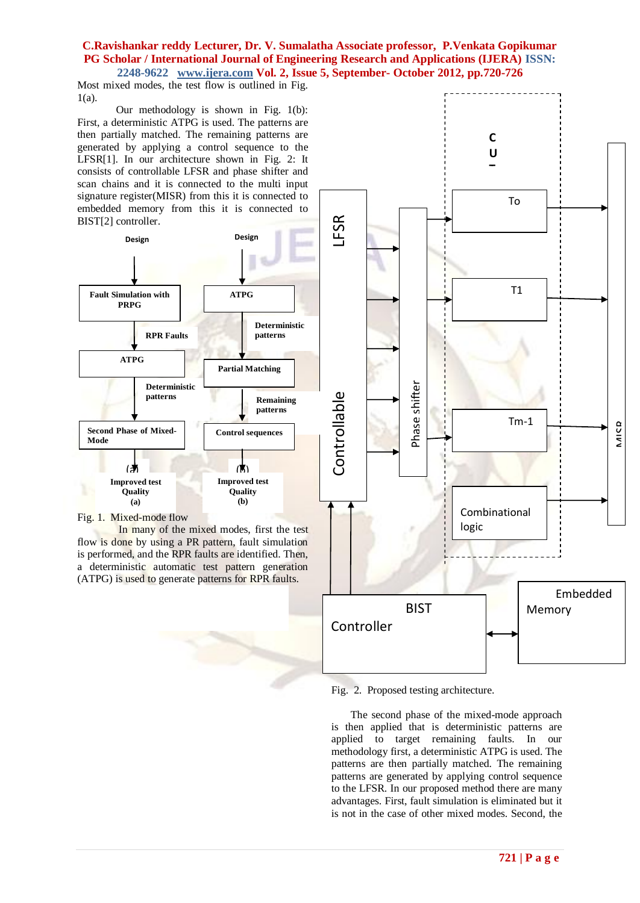Most mixed modes, the test flow is outlined in Fig. 1(a).

Our methodology is shown in Fig. 1(b): First, a deterministic ATPG is used. The patterns are then partially matched. The remaining patterns are generated by applying a control sequence to the LFSR[1]. In our architecture shown in Fig. 2: It consists of controllable LFSR and phase shifter and scan chains and it is connected to the multi input signature register(MISR) from this it is connected to embedded memory from this it is connected to BIST[2] controller.



#### Fig. 1. Mixed-mode flow

In many of the mixed modes, first the test flow is done by using a PR pattern, fault simulation is performed, and the RPR faults are identified. Then, a deterministic automatic test pattern generation (ATPG) is used to generate patterns for RPR faults.



Fig. 2. Proposed testing architecture.

The second phase of the mixed-mode approach is then applied that is deterministic patterns are applied to target remaining faults. In our methodology first, a deterministic ATPG is used. The patterns are then partially matched. The remaining patterns are generated by applying control sequence to the LFSR. In our proposed method there are many advantages. First, fault simulation is eliminated but it is not in the case of other mixed modes. Second, the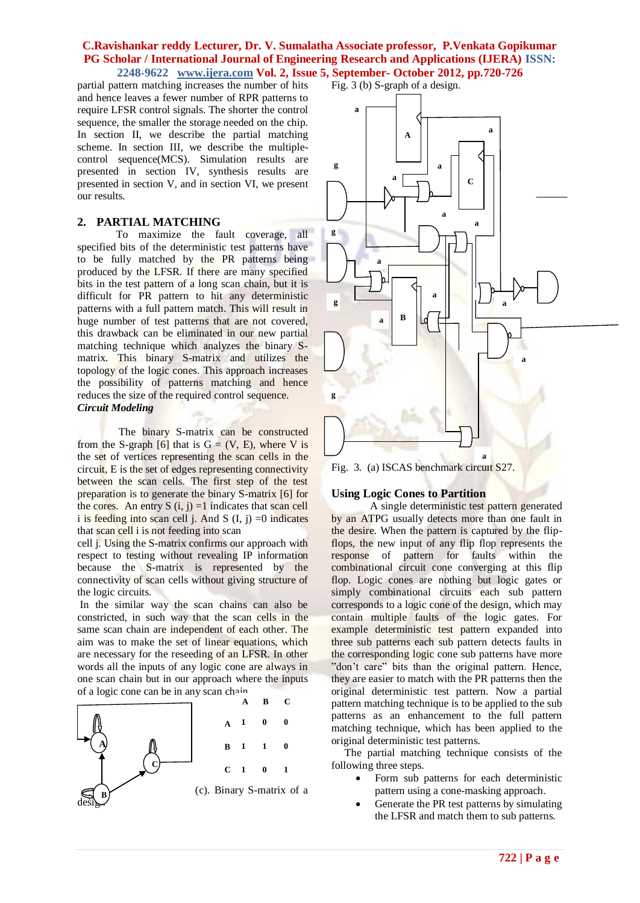partial pattern matching increases the number of hits and hence leaves a fewer number of RPR patterns to require LFSR control signals. The shorter the control sequence, the smaller the storage needed on the chip. In section II, we describe the partial matching scheme. In section III, we describe the multiplecontrol sequence(MCS). Simulation results are presented in section IV, synthesis results are presented in section V, and in section VI, we present our results.

#### **2. PARTIAL MATCHING**

To maximize the fault coverage, all specified bits of the deterministic test patterns have to be fully matched by the PR patterns being produced by the LFSR. If there are many specified bits in the test pattern of a long scan chain, but it is difficult for PR pattern to hit any deterministic patterns with a full pattern match. This will result in huge number of test patterns that are not covered, this drawback can be eliminated in our new partial matching technique which analyzes the binary Smatrix. This binary S-matrix and utilizes the topology of the logic cones. This approach increases the possibility of patterns matching and hence reduces the size of the required control sequence. *Circuit Modeling*

The binary S-matrix can be constructed from the S-graph [6] that is  $G = (V, E)$ , where V is the set of vertices representing the scan cells in the circuit, E is the set of edges representing connectivity between the scan cells. The first step of the test preparation is to generate the binary S-matrix [6] for the cores. An entry S  $(i, j) = 1$  indicates that scan cell i is feeding into scan cell j. And S  $(I, j) = 0$  indicates that scan cell i is not feeding into scan

cell j. Using the S-matrix confirms our approach with respect to testing without revealing IP information because the S-matrix is represented by the connectivity of scan cells without giving structure of the logic circuits.

In the similar way the scan chains can also be constricted, in such way that the scan cells in the same scan chain are independent of each other. The aim was to make the set of linear equations, which are necessary for the reseeding of an LFSR. In other words all the inputs of any logic cone are always in one scan chain but in our approach where the inputs of a logic cone can be in any scan chain.





Fig. 3. (a) ISCAS benchmark circuit S27. **8**

#### **Using Logic Cones to Partition**

A single deterministic test pattern generated by an ATPG usually detects more than one fault in the desire. When the pattern is captured by the flipflops, the new input of any flip flop represents the response of pattern for faults within the combinational circuit cone converging at this flip flop. Logic cones are nothing but logic gates or simply combinational circuits each sub pattern corresponds to a logic cone of the design, which may contain multiple faults of the logic gates. For example deterministic test pattern expanded into three sub patterns each sub pattern detects faults in the corresponding logic cone sub patterns have more "don't care" bits than the original pattern. Hence, they are easier to match with the PR patterns then the original deterministic test pattern. Now a partial pattern matching technique is to be applied to the sub patterns as an enhancement to the full pattern matching technique, which has been applied to the original deterministic test patterns.

 The partial matching technique consists of the following three steps.

- Form sub patterns for each deterministic pattern using a cone-masking approach.
- Generate the PR test patterns by simulating the LFSR and match them to sub patterns.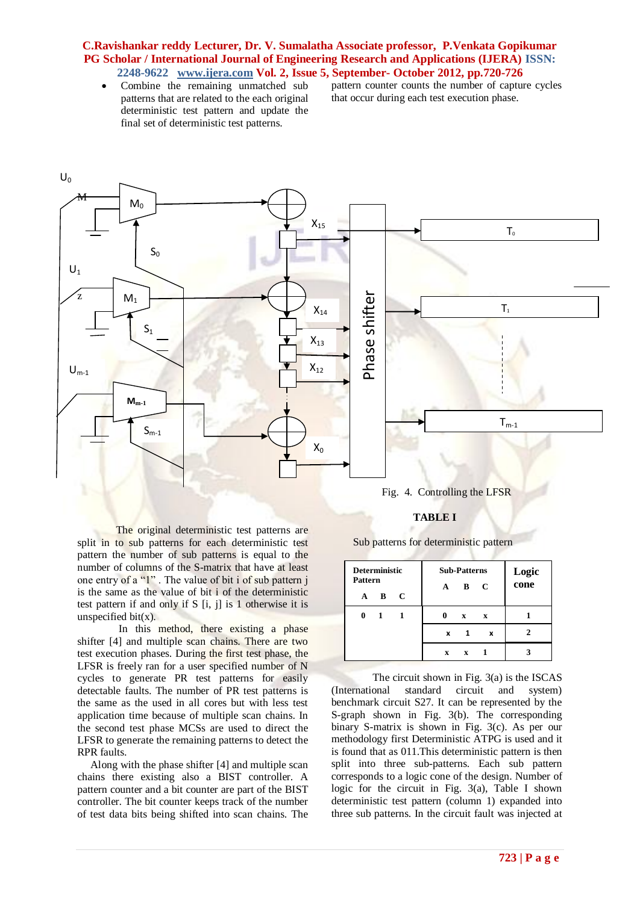Combine the remaining unmatched sub patterns that are related to the each original deterministic test pattern and update the final set of deterministic test patterns.

pattern counter counts the number of capture cycles that occur during each test execution phase.



The original deterministic test patterns are split in to sub patterns for each deterministic test pattern the number of sub patterns is equal to the number of columns of the S-matrix that have at least one entry of a "1" . The value of bit i of sub pattern j is the same as the value of bit i of the deterministic test pattern if and only if S [i, j] is 1 otherwise it is unspecified bit $(x)$ .

In this method, there existing a phase shifter [4] and multiple scan chains. There are two test execution phases. During the first test phase, the LFSR is freely ran for a user specified number of N cycles to generate PR test patterns for easily detectable faults. The number of PR test patterns is the same as the used in all cores but with less test application time because of multiple scan chains. In the second test phase MCSs are used to direct the LFSR to generate the remaining patterns to detect the RPR faults.

 Along with the phase shifter [4] and multiple scan chains there existing also a BIST controller. A pattern counter and a bit counter are part of the BIST controller. The bit counter keeps track of the number of test data bits being shifted into scan chains. The

# Fig. 4. Controlling the LFSR

### **TABLE I**

Sub patterns for deterministic pattern

| <b>Deterministic</b><br>Pattern<br>C<br>B<br>A | <b>Sub-Patterns</b><br>C<br>B<br>$\mathbf{A}$ | Logic<br>cone |
|------------------------------------------------|-----------------------------------------------|---------------|
|                                                | $\mathbf x$<br>$\mathbf{x}$                   |               |
|                                                | x<br>x                                        |               |
|                                                | X<br>X                                        |               |

The circuit shown in Fig. 3(a) is the ISCAS (International standard circuit and system) benchmark circuit S27. It can be represented by the S-graph shown in Fig. 3(b). The corresponding binary S-matrix is shown in Fig. 3(c). As per our methodology first Deterministic ATPG is used and it is found that as 011.This deterministic pattern is then split into three sub-patterns. Each sub pattern corresponds to a logic cone of the design. Number of logic for the circuit in Fig. 3(a), Table I shown deterministic test pattern (column 1) expanded into three sub patterns. In the circuit fault was injected at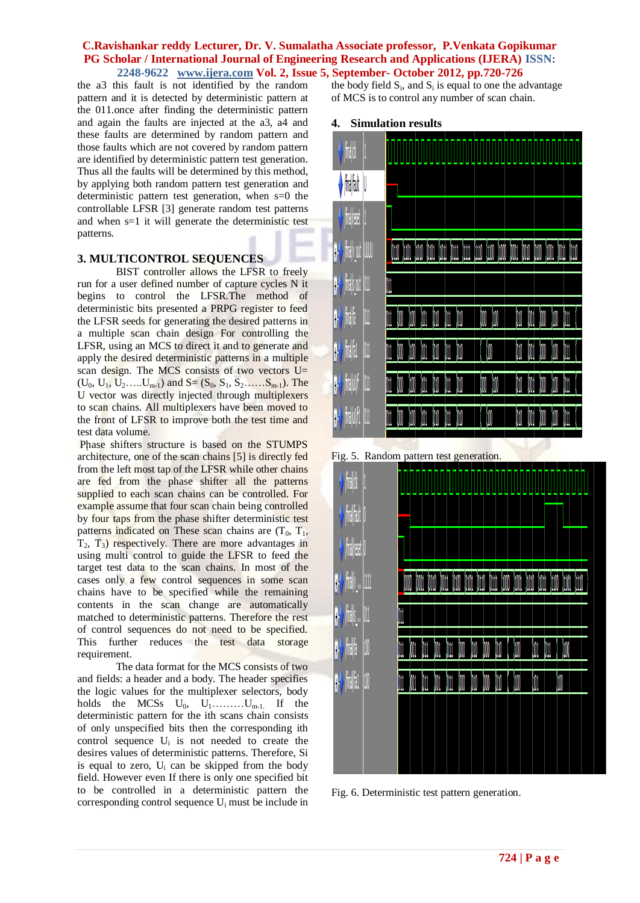the a3 this fault is not identified by the random pattern and it is detected by deterministic pattern at the 011.once after finding the deterministic pattern and again the faults are injected at the a3, a4 and these faults are determined by random pattern and those faults which are not covered by random pattern are identified by deterministic pattern test generation. Thus all the faults will be determined by this method, by applying both random pattern test generation and deterministic pattern test generation, when s=0 the controllable LFSR [3] generate random test patterns and when s=1 it will generate the deterministic test patterns.

# **3. MULTICONTROL SEQUENCES**

BIST controller allows the LFSR to freely run for a user defined number of capture cycles N it begins to control the LFSR.The method of deterministic bits presented a PRPG register to feed the LFSR seeds for generating the desired patterns in a multiple scan chain design For controlling the LFSR, using an MCS to direct it and to generate and apply the desired deterministic patterns in a multiple scan design. The MCS consists of two vectors U=  $(U_0, U_1, U_2, \ldots, U_{m-1})$  and  $S = (S_0, S_1, S_2, \ldots, S_{m-1})$ . The U vector was directly injected through multiplexers to scan chains. All multiplexers have been moved to the front of LFSR to improve both the test time and test data volume.

Phase shifters structure is based on the STUMPS architecture, one of the scan chains [5] is directly fed from the left most tap of the LFSR while other chains are fed from the phase shifter all the patterns supplied to each scan chains can be controlled. For example assume that four scan chain being controlled by four taps from the phase shifter deterministic test patterns indicated on These scan chains are  $(T_0, T_1, T_2)$  $T_2$ ,  $T_3$ ) respectively. There are more advantages in using multi control to guide the LFSR to feed the target test data to the scan chains. In most of the cases only a few control sequences in some scan chains have to be specified while the remaining contents in the scan change are automatically matched to deterministic patterns. Therefore the rest of control sequences do not need to be specified. This further reduces the test data storage requirement.

The data format for the MCS consists of two and fields: a header and a body. The header specifies the logic values for the multiplexer selectors, body holds the MCSs  $U_0$ ,  $U_1$ ......... $U_{m-1}$ . If the deterministic pattern for the ith scans chain consists of only unspecified bits then the corresponding ith control sequence  $U_i$  is not needed to create the desires values of deterministic patterns. Therefore, Si is equal to zero,  $U_i$  can be skipped from the body field. However even If there is only one specified bit to be controlled in a deterministic pattern the corresponding control sequence U<sup>i</sup> must be include in

the body field  $S_i$ , and  $S_i$  is equal to one the advantage of MCS is to control any number of scan chain.

#### **4. Simulation results**



Fig. 5. Random pattern test generation.



Fig. 6. Deterministic test pattern generation.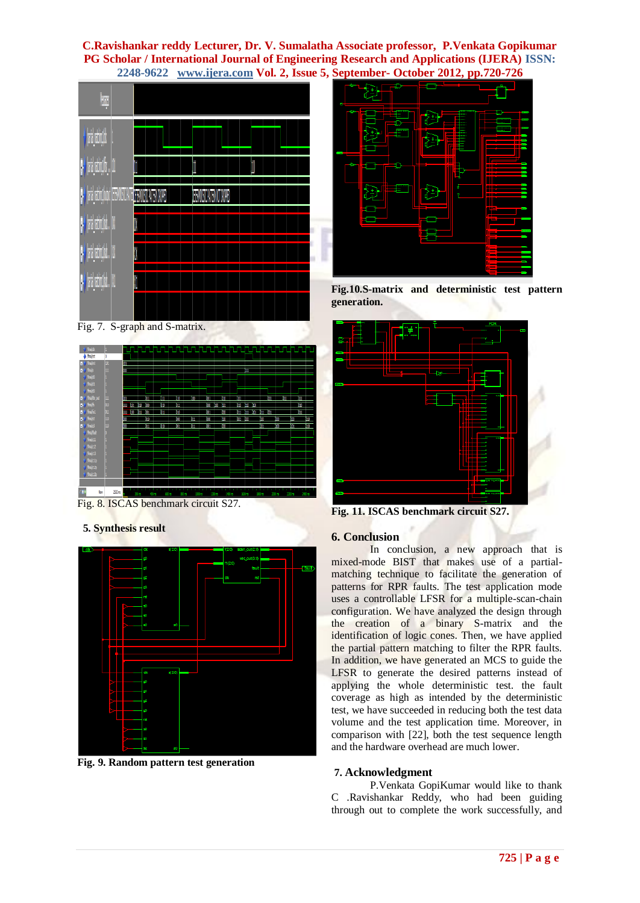

Fig. 7. S-graph and S-matrix.



Fig. 8. ISCAS benchmark circuit S27.

 **5. Synthesis result**



**Fig. 9. Random pattern test generation**



**Fig.10.S-matrix and deterministic test pattern generation.**



**Fig. 11. ISCAS benchmark circuit S27.**

# **6. Conclusion**

In conclusion, a new approach that is mixed-mode BIST that makes use of a partialmatching technique to facilitate the generation of patterns for RPR faults. The test application mode uses a controllable LFSR for a multiple-scan-chain configuration. We have analyzed the design through the creation of a binary S-matrix and the identification of logic cones. Then, we have applied the partial pattern matching to filter the RPR faults. In addition, we have generated an MCS to guide the LFSR to generate the desired patterns instead of applying the whole deterministic test. the fault coverage as high as intended by the deterministic test, we have succeeded in reducing both the test data volume and the test application time. Moreover, in comparison with [22], both the test sequence length and the hardware overhead are much lower.

# **7. Acknowledgment**

P.Venkata GopiKumar would like to thank C .Ravishankar Reddy, who had been guiding through out to complete the work successfully, and